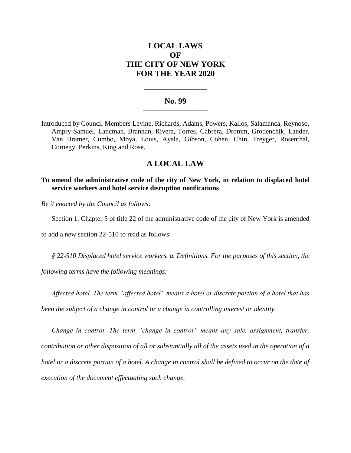# **LOCAL LAWS OF THE CITY OF NEW YORK FOR THE YEAR 2020**

## **No. 99 \_\_\_\_\_\_\_\_\_\_\_\_\_\_\_\_\_\_\_\_\_\_\_\_\_**

**\_\_\_\_\_\_\_\_\_\_\_\_\_\_\_\_\_\_\_\_\_\_**

Introduced by Council Members Levine, Richards, Adams, Powers, Kallos, Salamanca, Reynoso, Ampry-Samuel, Lancman, Brannan, Rivera, Torres, Cabrera, Dromm, Grodenchik, Lander, Van Bramer, Cumbo, Moya, Louis, Ayala, Gibson, Cohen, Chin, Treyger, Rosenthal, Cornegy, Perkins, King and Rose.

# **A LOCAL LAW**

**To amend the administrative code of the city of New York, in relation to displaced hotel service workers and hotel service disruption notifications**

*Be it enacted by the Council as follows:*

Section 1. Chapter 5 of title 22 of the administrative code of the city of New York is amended

to add a new section 22-510 to read as follows:

*§ 22-510 Displaced hotel service workers. a. Definitions. For the purposes of this section, the* 

*following terms have the following meanings:*

*Affected hotel. The term "affected hotel" means a hotel or discrete portion of a hotel that has been the subject of a change in control or a change in controlling interest or identity.*

*Change in control. The term "change in control" means any sale, assignment, transfer, contribution or other disposition of all or substantially all of the assets used in the operation of a hotel or a discrete portion of a hotel. A change in control shall be defined to occur on the date of execution of the document effectuating such change.*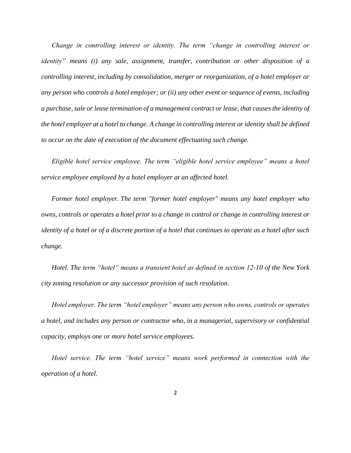*Change in controlling interest or identity. The term "change in controlling interest or identity" means (i) any sale, assignment, transfer, contribution or other disposition of a controlling interest, including by consolidation, merger or reorganization, of a hotel employer or any person who controls a hotel employer; or (ii) any other event or sequence of events, including a purchase, sale or lease termination of a management contract or lease, that causes the identity of the hotel employer at a hotel to change. A change in controlling interest or identity shall be defined to occur on the date of execution of the document effectuating such change.*

*Eligible hotel service employee. The term "eligible hotel service employee" means a hotel service employee employed by a hotel employer at an affected hotel.*

*Former hotel employer. The term "former hotel employer" means any hotel employer who owns, controls or operates a hotel prior to a change in control or change in controlling interest or identity of a hotel or of a discrete portion of a hotel that continues to operate as a hotel after such change.*

*Hotel. The term "hotel" means a transient hotel as defined in section 12-10 of the New York city zoning resolution or any successor provision of such resolution.*

*Hotel employer. The term "hotel employer" means any person who owns, controls or operates a hotel, and includes any person or contractor who, in a managerial, supervisory or confidential capacity, employs one or more hotel service employees.*

*Hotel service. The term "hotel service" means work performed in connection with the operation of a hotel.*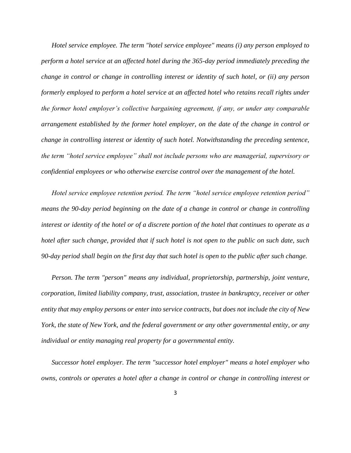*Hotel service employee. The term "hotel service employee" means (i) any person employed to perform a hotel service at an affected hotel during the 365-day period immediately preceding the change in control or change in controlling interest or identity of such hotel, or (ii) any person formerly employed to perform a hotel service at an affected hotel who retains recall rights under the former hotel employer's collective bargaining agreement, if any, or under any comparable arrangement established by the former hotel employer, on the date of the change in control or change in controlling interest or identity of such hotel. Notwithstanding the preceding sentence, the term "hotel service employee" shall not include persons who are managerial, supervisory or confidential employees or who otherwise exercise control over the management of the hotel.* 

*Hotel service employee retention period. The term "hotel service employee retention period" means the 90-day period beginning on the date of a change in control or change in controlling interest or identity of the hotel or of a discrete portion of the hotel that continues to operate as a hotel after such change, provided that if such hotel is not open to the public on such date, such 90-day period shall begin on the first day that such hotel is open to the public after such change.*

*Person. The term "person" means any individual, proprietorship, partnership, joint venture, corporation, limited liability company, trust, association, trustee in bankruptcy, receiver or other entity that may employ persons or enter into service contracts, but does not include the city of New York, the state of New York, and the federal government or any other governmental entity, or any individual or entity managing real property for a governmental entity.*

*Successor hotel employer. The term "successor hotel employer" means a hotel employer who owns, controls or operates a hotel after a change in control or change in controlling interest or*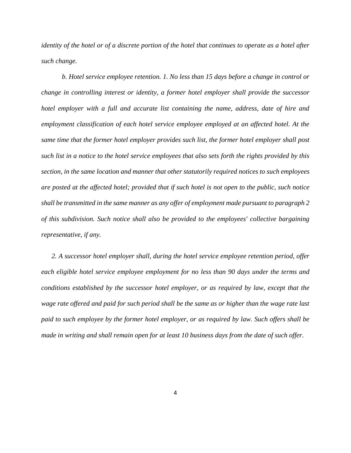*identity of the hotel or of a discrete portion of the hotel that continues to operate as a hotel after such change.*

*b. Hotel service employee retention. 1. No less than 15 days before a change in control or change in controlling interest or identity, a former hotel employer shall provide the successor hotel employer with a full and accurate list containing the name, address, date of hire and employment classification of each hotel service employee employed at an affected hotel. At the same time that the former hotel employer provides such list, the former hotel employer shall post such list in a notice to the hotel service employees that also sets forth the rights provided by this section, in the same location and manner that other statutorily required notices to such employees are posted at the affected hotel; provided that if such hotel is not open to the public, such notice shall be transmitted in the same manner as any offer of employment made pursuant to paragraph 2 of this subdivision. Such notice shall also be provided to the employees' collective bargaining representative, if any.* 

*2. A successor hotel employer shall, during the hotel service employee retention period, offer each eligible hotel service employee employment for no less than 90 days under the terms and conditions established by the successor hotel employer, or as required by law, except that the wage rate offered and paid for such period shall be the same as or higher than the wage rate last paid to such employee by the former hotel employer, or as required by law. Such offers shall be made in writing and shall remain open for at least 10 business days from the date of such offer.*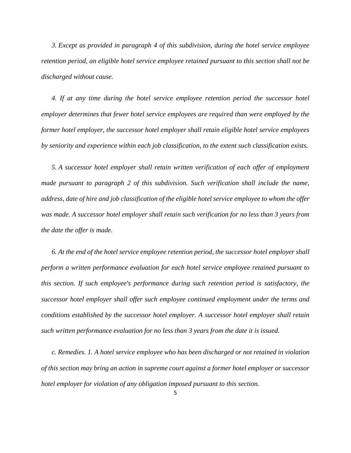*3. Except as provided in paragraph 4 of this subdivision, during the hotel service employee retention period, an eligible hotel service employee retained pursuant to this section shall not be discharged without cause.* 

*4. If at any time during the hotel service employee retention period the successor hotel employer determines that fewer hotel service employees are required than were employed by the former hotel employer, the successor hotel employer shall retain eligible hotel service employees by seniority and experience within each job classification, to the extent such classification exists.* 

*5. A successor hotel employer shall retain written verification of each offer of employment made pursuant to paragraph 2 of this subdivision. Such verification shall include the name, address, date of hire and job classification of the eligible hotel service employee to whom the offer was made. A successor hotel employer shall retain such verification for no less than 3 years from the date the offer is made.*

*6. At the end of the hotel service employee retention period, the successor hotel employer shall perform a written performance evaluation for each hotel service employee retained pursuant to this section. If such employee's performance during such retention period is satisfactory, the successor hotel employer shall offer such employee continued employment under the terms and conditions established by the successor hotel employer. A successor hotel employer shall retain such written performance evaluation for no less than 3 years from the date it is issued.*

*c. Remedies. 1. A hotel service employee who has been discharged or not retained in violation of this section may bring an action in supreme court against a former hotel employer or successor hotel employer for violation of any obligation imposed pursuant to this section.*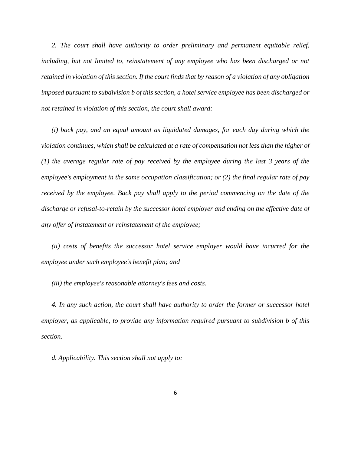2. The court shall have authority to order preliminary and permanent equitable relief, *including, but not limited to, reinstatement of any employee who has been discharged or not retained in violation of this section. If the court finds that by reason of a violation of any obligation imposed pursuant to subdivision b of this section, a hotel service employee has been discharged or not retained in violation of this section, the court shall award:* 

*(i) back pay, and an equal amount as liquidated damages, for each day during which the violation continues, which shall be calculated at a rate of compensation not less than the higher of (1) the average regular rate of pay received by the employee during the last 3 years of the employee's employment in the same occupation classification; or (2) the final regular rate of pay received by the employee. Back pay shall apply to the period commencing on the date of the discharge or refusal-to-retain by the successor hotel employer and ending on the effective date of any offer of instatement or reinstatement of the employee;*

*(ii) costs of benefits the successor hotel service employer would have incurred for the employee under such employee's benefit plan; and* 

*(iii) the employee's reasonable attorney's fees and costs.* 

*4. In any such action, the court shall have authority to order the former or successor hotel employer, as applicable, to provide any information required pursuant to subdivision b of this section.* 

*d. Applicability. This section shall not apply to:*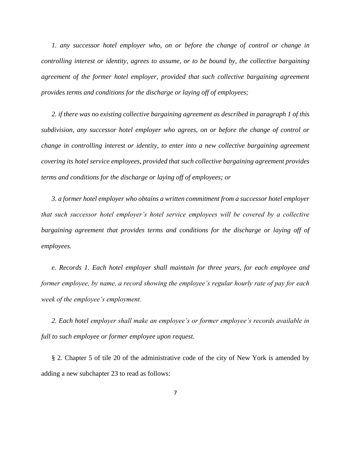*1. any successor hotel employer who, on or before the change of control or change in controlling interest or identity, agrees to assume, or to be bound by, the collective bargaining agreement of the former hotel employer, provided that such collective bargaining agreement provides terms and conditions for the discharge or laying off of employees;* 

*2. if there was no existing collective bargaining agreement as described in paragraph 1 of this subdivision, any successor hotel employer who agrees, on or before the change of control or change in controlling interest or identity, to enter into a new collective bargaining agreement covering its hotel service employees, provided that such collective bargaining agreement provides terms and conditions for the discharge or laying off of employees; or* 

*3. a former hotel employer who obtains a written commitment from a successor hotel employer that such successor hotel employer's hotel service employees will be covered by a collective bargaining agreement that provides terms and conditions for the discharge or laying off of employees.*

*e. Records 1. Each hotel employer shall maintain for three years, for each employee and former employee, by name, a record showing the employee's regular hourly rate of pay for each week of the employee's employment.*

*2. Each hotel employer shall make an employee's or former employee's records available in full to such employee or former employee upon request.*

§ 2. Chapter 5 of tile 20 of the administrative code of the city of New York is amended by adding a new subchapter 23 to read as follows: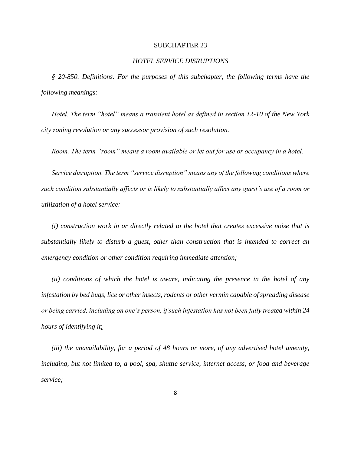### SUBCHAPTER 23

## *HOTEL SERVICE DISRUPTIONS*

*§ 20-850. Definitions. For the purposes of this subchapter, the following terms have the following meanings:*

*Hotel. The term "hotel" means a transient hotel as defined in section 12-10 of the New York city zoning resolution or any successor provision of such resolution.*

*Room. The term "room" means a room available or let out for use or occupancy in a hotel.*

*Service disruption. The term "service disruption" means any of the following conditions where such condition substantially affects or is likely to substantially affect any guest's use of a room or utilization of a hotel service:*

*(i) construction work in or directly related to the hotel that creates excessive noise that is substantially likely to disturb a guest, other than construction that is intended to correct an emergency condition or other condition requiring immediate attention;*

*(ii) conditions of which the hotel is aware, indicating the presence in the hotel of any infestation by bed bugs, lice or other insects, rodents or other vermin capable of spreading disease or being carried, including on one's person, if such infestation has not been fully treated within 24 hours of identifying it*;

*(iii) the unavailability, for a period of 48 hours or more, of any advertised hotel amenity, including, but not limited to, a pool, spa, shuttle service, internet access, or food and beverage service;*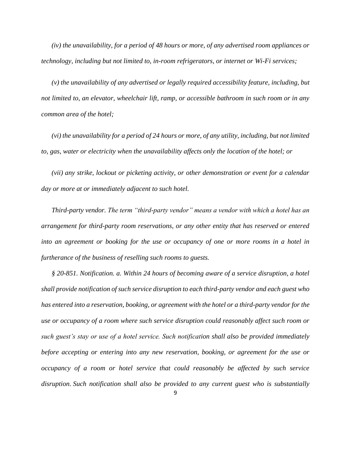*(iv) the unavailability, for a period of 48 hours or more, of any advertised room appliances or technology, including but not limited to, in-room refrigerators, or internet or Wi-Fi services;*

*(v) the unavailability of any advertised or legally required accessibility feature, including, but not limited to, an elevator, wheelchair lift, ramp, or accessible bathroom in such room or in any common area of the hotel;*

*(vi) the unavailability for a period of 24 hours or more, of any utility, including, but not limited to, gas, water or electricity when the unavailability affects only the location of the hotel; or*

*(vii) any strike, lockout or picketing activity, or other demonstration or event for a calendar day or more at or immediately adjacent to such hotel.* 

*Third-party vendor. The term "third-party vendor" means a vendor with which a hotel has an arrangement for third-party room reservations, or any other entity that has reserved or entered into an agreement or booking for the use or occupancy of one or more rooms in a hotel in furtherance of the business of reselling such rooms to guests.*

*§ 20-851. Notification. a. Within 24 hours of becoming aware of a service disruption, a hotel shall provide notification of such service disruption to each third-party vendor and each guest who has entered into a reservation, booking, or agreement with the hotel or a third-party vendor for the use or occupancy of a room where such service disruption could reasonably affect such room or such guest's stay or use of a hotel service. Such notification shall also be provided immediately before accepting or entering into any new reservation, booking, or agreement for the use or occupancy of a room or hotel service that could reasonably be affected by such service disruption. Such notification shall also be provided to any current guest who is substantially*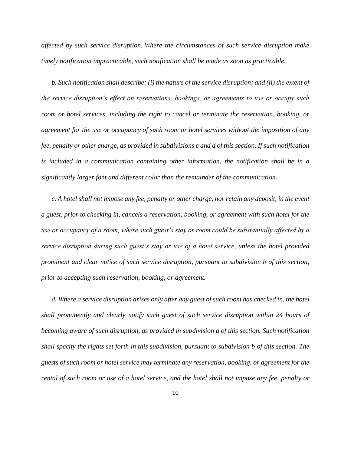*affected by such service disruption. Where the circumstances of such service disruption make timely notification impracticable, such notification shall be made as soon as practicable.* 

*b. Such notification shall describe: (i) the nature of the service disruption; and (ii) the extent of the service disruption's effect on reservations, bookings, or agreements to use or occupy such room or hotel services, including the right to cancel or terminate the reservation, booking, or agreement for the use or occupancy of such room or hotel services without the imposition of any fee, penalty or other charge, as provided in subdivisions c and d of this section. If such notification is included in a communication containing other information, the notification shall be in a significantly larger font and different color than the remainder of the communication.*

*c. A hotel shall not impose any fee, penalty or other charge, nor retain any deposit, in the event a guest, prior to checking in, cancels a reservation, booking, or agreement with such hotel for the use or occupancy of a room, where such guest's stay or room could be substantially affected by a service disruption during such guest's stay or use of a hotel service, unless the hotel provided prominent and clear notice of such service disruption, pursuant to subdivision b of this section, prior to accepting such reservation, booking, or agreement.*

*d. Where a service disruption arises only after any guest of such room has checked in, the hotel shall prominently and clearly notify such guest of such service disruption within 24 hours of becoming aware of such disruption, as provided in subdivision a of this section. Such notification shall specify the rights set forth in this subdivision, pursuant to subdivision b of this section. The guests of such room or hotel service may terminate any reservation, booking, or agreement for the rental of such room or use of a hotel service, and the hotel shall not impose any fee, penalty or*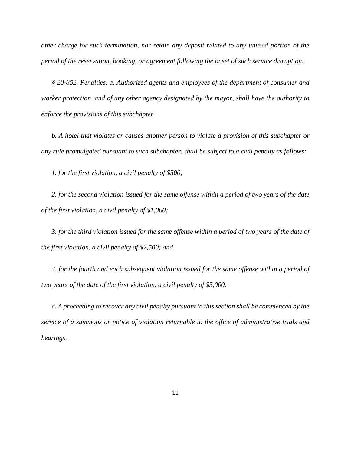*other charge for such termination, nor retain any deposit related to any unused portion of the period of the reservation, booking, or agreement following the onset of such service disruption.*

*§ 20-852. Penalties. a. Authorized agents and employees of the department of consumer and worker protection, and of any other agency designated by the mayor, shall have the authority to enforce the provisions of this subchapter.*

*b. A hotel that violates or causes another person to violate a provision of this subchapter or any rule promulgated pursuant to such subchapter, shall be subject to a civil penalty as follows:*

*1. for the first violation, a civil penalty of \$500;*

*2. for the second violation issued for the same offense within a period of two years of the date of the first violation, a civil penalty of \$1,000;*

*3. for the third violation issued for the same offense within a period of two years of the date of the first violation, a civil penalty of \$2,500; and*

*4. for the fourth and each subsequent violation issued for the same offense within a period of two years of the date of the first violation, a civil penalty of \$5,000.*

*c. A proceeding to recover any civil penalty pursuant to this section shall be commenced by the service of a summons or notice of violation returnable to the office of administrative trials and hearings.*